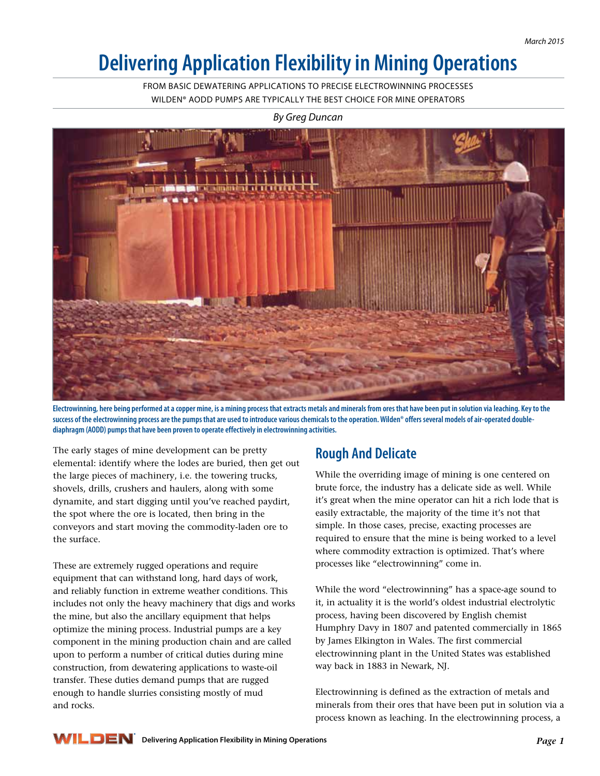# **Delivering Application Flexibility in Mining Operations**

FROM BASIC DEWATERING APPLICATIONS TO PRECISE ELECTROWINNING PROCESSES WILDEN® AODD PUMPS ARE TYPICALLY THE BEST CHOICE FOR MINE OPERATORS



*By Greg Duncan*

**Electrowinning, here being performed at a copper mine, is a mining process that extracts metals and minerals from ores that have been put in solution via leaching. Key to the**  success of the electrowinning process are the pumps that are used to introduce various chemicals to the operation. Wilden® offers several models of air-operated double**diaphragm (AODD) pumps that have been proven to operate effectively in electrowinning activities.** 

The early stages of mine development can be pretty elemental: identify where the lodes are buried, then get out the large pieces of machinery, i.e. the towering trucks, shovels, drills, crushers and haulers, along with some dynamite, and start digging until you've reached paydirt, the spot where the ore is located, then bring in the conveyors and start moving the commodity-laden ore to the surface.

These are extremely rugged operations and require equipment that can withstand long, hard days of work, and reliably function in extreme weather conditions. This includes not only the heavy machinery that digs and works the mine, but also the ancillary equipment that helps optimize the mining process. Industrial pumps are a key component in the mining production chain and are called upon to perform a number of critical duties during mine construction, from dewatering applications to waste-oil transfer. These duties demand pumps that are rugged enough to handle slurries consisting mostly of mud and rocks.

## **Rough And Delicate**

While the overriding image of mining is one centered on brute force, the industry has a delicate side as well. While it's great when the mine operator can hit a rich lode that is easily extractable, the majority of the time it's not that simple. In those cases, precise, exacting processes are required to ensure that the mine is being worked to a level where commodity extraction is optimized. That's where processes like "electrowinning" come in.

While the word "electrowinning" has a space-age sound to it, in actuality it is the world's oldest industrial electrolytic process, having been discovered by English chemist Humphry Davy in 1807 and patented commercially in 1865 by James Elkington in Wales. The first commercial electrowinning plant in the United States was established way back in 1883 in Newark, NJ.

Electrowinning is defined as the extraction of metals and minerals from their ores that have been put in solution via a process known as leaching. In the electrowinning process, a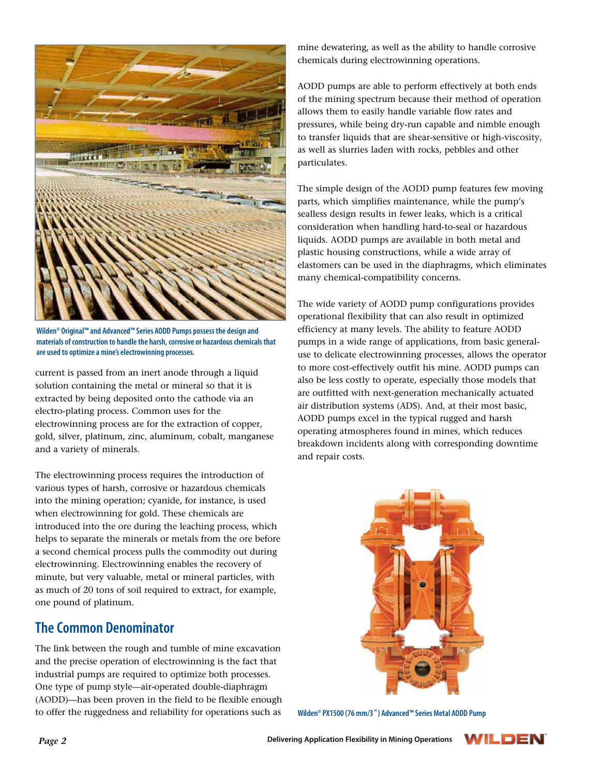

**Wilden® Original™ and Advanced™ Series AODD Pumps possess the design and materials of construction to handle the harsh, corrosive or hazardous chemicals that are used to optimize a mine's electrowinning processes.** 

current is passed from an inert anode through a liquid solution containing the metal or mineral so that it is extracted by being deposited onto the cathode via an electro-plating process. Common uses for the electrowinning process are for the extraction of copper, gold, silver, platinum, zinc, aluminum, cobalt, manganese and a variety of minerals.

The electrowinning process requires the introduction of various types of harsh, corrosive or hazardous chemicals into the mining operation; cyanide, for instance, is used when electrowinning for gold. These chemicals are introduced into the ore during the leaching process, which helps to separate the minerals or metals from the ore before a second chemical process pulls the commodity out during electrowinning. Electrowinning enables the recovery of minute, but very valuable, metal or mineral particles, with as much of 20 tons of soil required to extract, for example, one pound of platinum.

#### **The Common Denominator**

The link between the rough and tumble of mine excavation and the precise operation of electrowinning is the fact that industrial pumps are required to optimize both processes. One type of pump style—air-operated double-diaphragm (AODD)—has been proven in the field to be flexible enough to offer the ruggedness and reliability for operations such as

mine dewatering, as well as the ability to handle corrosive chemicals during electrowinning operations.

AODD pumps are able to perform effectively at both ends of the mining spectrum because their method of operation allows them to easily handle variable flow rates and pressures, while being dry-run capable and nimble enough to transfer liquids that are shear-sensitive or high-viscosity, as well as slurries laden with rocks, pebbles and other particulates.

The simple design of the AODD pump features few moving parts, which simplifies maintenance, while the pump's sealless design results in fewer leaks, which is a critical consideration when handling hard-to-seal or hazardous liquids. AODD pumps are available in both metal and plastic housing constructions, while a wide array of elastomers can be used in the diaphragms, which eliminates many chemical-compatibility concerns.

The wide variety of AODD pump configurations provides operational flexibility that can also result in optimized efficiency at many levels. The ability to feature AODD pumps in a wide range of applications, from basic generaluse to delicate electrowinning processes, allows the operator to more cost-effectively outfit his mine. AODD pumps can also be less costly to operate, especially those models that are outfitted with next-generation mechanically actuated air distribution systems (ADS). And, at their most basic, AODD pumps excel in the typical rugged and harsh operating atmospheres found in mines, which reduces breakdown incidents along with corresponding downtime and repair costs.



**Wilden® PX1500 (76 mm/3**"**) Advanced™ Series Metal AODD Pump**

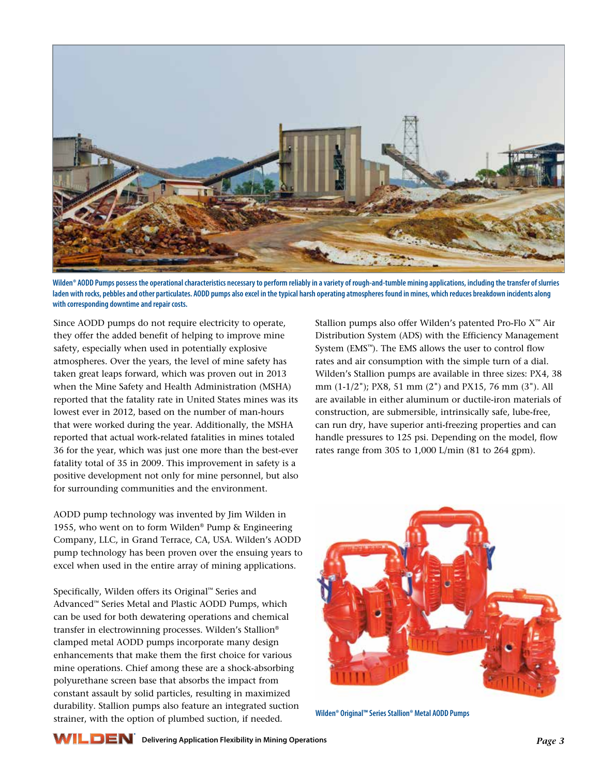

Wilden<sup>®</sup> AODD Pumps possess the operational characteristics necessary to perform reliably in a variety of rough-and-tumble mining applications, including the transfer of slurries **laden with rocks, pebbles and other particulates. AODD pumps also excel in the typical harsh operating atmospheres found in mines, which reduces breakdown incidents along with corresponding downtime and repair costs.**

Since AODD pumps do not require electricity to operate, they offer the added benefit of helping to improve mine safety, especially when used in potentially explosive atmospheres. Over the years, the level of mine safety has taken great leaps forward, which was proven out in 2013 when the Mine Safety and Health Administration (MSHA) reported that the fatality rate in United States mines was its lowest ever in 2012, based on the number of man-hours that were worked during the year. Additionally, the MSHA reported that actual work-related fatalities in mines totaled 36 for the year, which was just one more than the best-ever fatality total of 35 in 2009. This improvement in safety is a positive development not only for mine personnel, but also for surrounding communities and the environment.

AODD pump technology was invented by Jim Wilden in 1955, who went on to form Wilden® Pump & Engineering Company, LLC, in Grand Terrace, CA, USA. Wilden's AODD pump technology has been proven over the ensuing years to excel when used in the entire array of mining applications.

Specifically, Wilden offers its Original™ Series and Advanced™ Series Metal and Plastic AODD Pumps, which can be used for both dewatering operations and chemical transfer in electrowinning processes. Wilden's Stallion® clamped metal AODD pumps incorporate many design enhancements that make them the first choice for various mine operations. Chief among these are a shock-absorbing polyurethane screen base that absorbs the impact from constant assault by solid particles, resulting in maximized durability. Stallion pumps also feature an integrated suction strainer, with the option of plumbed suction, if needed.

Stallion pumps also offer Wilden's patented Pro-Flo X™ Air Distribution System (ADS) with the Efficiency Management System (EMS™). The EMS allows the user to control flow rates and air consumption with the simple turn of a dial. Wilden's Stallion pumps are available in three sizes: PX4, 38 mm (1-1/2"); PX8, 51 mm (2") and PX15, 76 mm (3"). All are available in either aluminum or ductile-iron materials of construction, are submersible, intrinsically safe, lube-free, can run dry, have superior anti-freezing properties and can handle pressures to 125 psi. Depending on the model, flow rates range from 305 to 1,000 L/min (81 to 264 gpm).



**Wilden® Original™ Series Stallion® Metal AODD Pumps**